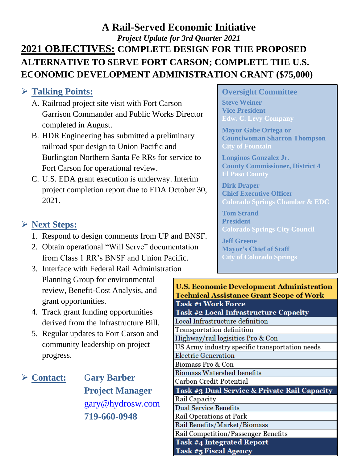# **A Rail-Served Economic Initiative**  *Project Update for 3rd Quarter 2021* **2021 OBJECTIVES: COMPLETE DESIGN FOR THE PROPOSED ALTERNATIVE TO SERVE FORT CARSON; COMPLETE THE U.S. ECONOMIC DEVELOPMENT ADMINISTRATION GRANT (\$75,000)**

## ➢ **Talking Points:**

- A. Railroad project site visit with Fort Carson Garrison Commander and Public Works Director completed in August.
- B. HDR Engineering has submitted a preliminary railroad spur design to Union Pacific and Burlington Northern Santa Fe RRs for service to Fort Carson for operational review.
- C. U.S. EDA grant execution is underway. Interim project completion report due to EDA October 30, 2021.

## ➢ **Next Steps:**

- 1. Respond to design comments from UP and BNSF.
- 2. Obtain operational "Will Serve" documentation from Class 1 RR's BNSF and Union Pacific.
- 3. Interface with Federal Rail Administration Planning Group for environmental review, Benefit-Cost Analysis, and grant opportunities.
- 4. Track grant funding opportunities derived from the Infrastructure Bill.
- 5. Regular updates to Fort Carson and community leadership on project progress.

➢ **Contact:** G**ary Barber Project Manager** [gary@hydrosw.com](mailto:gary@hydrosw.com) **719-660-0948**

#### **Oversight Committee**

**Steve Weiner Vice President Edw. C. Levy Company**

**Mayor Gabe Ortega or Counciwoman Sharron Thompson City of Fountain**

**Longinos Gonzalez Jr. County Commissioner, District 4 El Paso County**

**Dirk Draper Chief Executive Officer Colorado Springs Chamber & EDC**

**Tom Strand President Colorado Springs City Council**

**Jeff Greene Mayor's Chief of Staff City of Colorado Springs**

| U.S. Economic Development Administration                |
|---------------------------------------------------------|
| <b>Technical Assistance Grant Scope of Work</b>         |
| <b>Task #1 Work Force</b>                               |
| <b>Task #2 Local Infrastructure Capacity</b>            |
| Local Infrastructure definition                         |
| Transportation definition                               |
| Highway/rail logisitics Pro & Con                       |
| US Army industry specific transportation needs          |
| Electric Generation                                     |
| Biomass Pro & Con                                       |
| Biomass Watershed benefits                              |
| Carbon Credit Potential                                 |
| <b>Task #3 Dual Service &amp; Private Rail Capacity</b> |
| Rail Capacity                                           |
| <b>Dual Service Benefits</b>                            |
| Rail Operations at Park                                 |
| Rail Benefits/Market/Biomass                            |
| Rail Competition/Passenger Benefits                     |
| <b>Task #4 Integrated Report</b>                        |
| <b>Task #5 Fiscal Agency</b>                            |